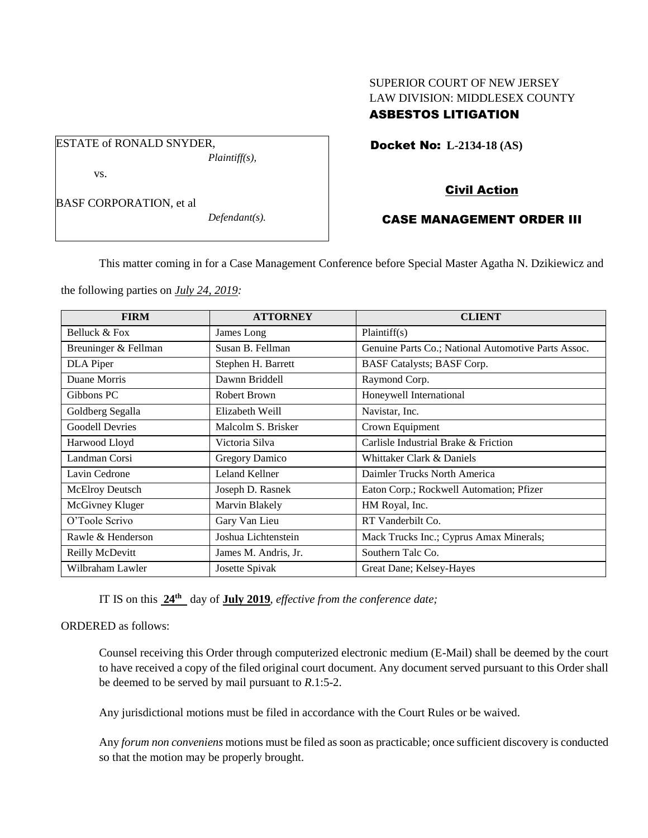# SUPERIOR COURT OF NEW JERSEY LAW DIVISION: MIDDLESEX COUNTY ASBESTOS LITIGATION

Docket No: **L-2134-18 (AS)** 

vs.

BASF CORPORATION, et al

ESTATE of RONALD SNYDER,

*Defendant(s).*

*Plaintiff(s),*

# Civil Action

## CASE MANAGEMENT ORDER III

This matter coming in for a Case Management Conference before Special Master Agatha N. Dzikiewicz and

the following parties on *July 24, 2019:*

| <b>FIRM</b>            | <b>ATTORNEY</b>       | <b>CLIENT</b>                                       |
|------------------------|-----------------------|-----------------------------------------------------|
| Belluck & Fox          | James Long            | Plaintiff(s)                                        |
| Breuninger & Fellman   | Susan B. Fellman      | Genuine Parts Co.; National Automotive Parts Assoc. |
| DLA Piper              | Stephen H. Barrett    | BASF Catalysts; BASF Corp.                          |
| Duane Morris           | Dawnn Briddell        | Raymond Corp.                                       |
| Gibbons PC             | Robert Brown          | Honeywell International                             |
| Goldberg Segalla       | Elizabeth Weill       | Navistar, Inc.                                      |
| <b>Goodell Devries</b> | Malcolm S. Brisker    | Crown Equipment                                     |
| Harwood Lloyd          | Victoria Silva        | Carlisle Industrial Brake & Friction                |
| Landman Corsi          | <b>Gregory Damico</b> | Whittaker Clark & Daniels                           |
| Lavin Cedrone          | Leland Kellner        | Daimler Trucks North America                        |
| McElroy Deutsch        | Joseph D. Rasnek      | Eaton Corp.; Rockwell Automation; Pfizer            |
| McGivney Kluger        | Marvin Blakely        | HM Royal, Inc.                                      |
| O'Toole Scrivo         | Gary Van Lieu         | RT Vanderbilt Co.                                   |
| Rawle & Henderson      | Joshua Lichtenstein   | Mack Trucks Inc.; Cyprus Amax Minerals;             |
| Reilly McDevitt        | James M. Andris, Jr.  | Southern Talc Co.                                   |
| Wilbraham Lawler       | Josette Spivak        | Great Dane; Kelsey-Hayes                            |

IT IS on this **24th** day of **July 2019**, *effective from the conference date;*

## ORDERED as follows:

Counsel receiving this Order through computerized electronic medium (E-Mail) shall be deemed by the court to have received a copy of the filed original court document. Any document served pursuant to this Order shall be deemed to be served by mail pursuant to *R*.1:5-2.

Any jurisdictional motions must be filed in accordance with the Court Rules or be waived.

Any *forum non conveniens* motions must be filed as soon as practicable; once sufficient discovery is conducted so that the motion may be properly brought.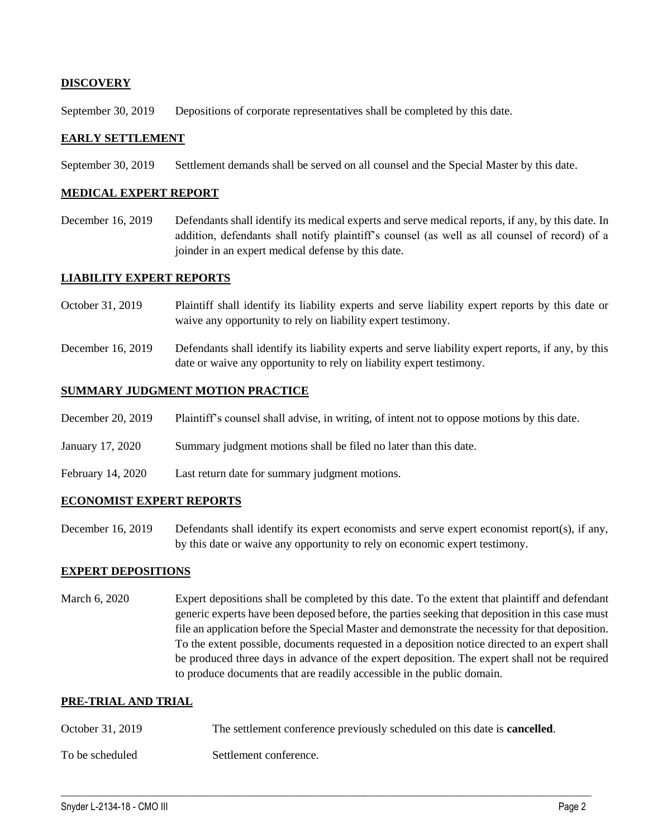## **DISCOVERY**

September 30, 2019 Depositions of corporate representatives shall be completed by this date.

### **EARLY SETTLEMENT**

September 30, 2019 Settlement demands shall be served on all counsel and the Special Master by this date.

#### **MEDICAL EXPERT REPORT**

December 16, 2019 Defendants shall identify its medical experts and serve medical reports, if any, by this date. In addition, defendants shall notify plaintiff's counsel (as well as all counsel of record) of a joinder in an expert medical defense by this date.

#### **LIABILITY EXPERT REPORTS**

- October 31, 2019 Plaintiff shall identify its liability experts and serve liability expert reports by this date or waive any opportunity to rely on liability expert testimony.
- December 16, 2019 Defendants shall identify its liability experts and serve liability expert reports, if any, by this date or waive any opportunity to rely on liability expert testimony.

#### **SUMMARY JUDGMENT MOTION PRACTICE**

- December 20, 2019 Plaintiff's counsel shall advise, in writing, of intent not to oppose motions by this date.
- January 17, 2020 Summary judgment motions shall be filed no later than this date.
- February 14, 2020 Last return date for summary judgment motions.

## **ECONOMIST EXPERT REPORTS**

December 16, 2019 Defendants shall identify its expert economists and serve expert economist report(s), if any, by this date or waive any opportunity to rely on economic expert testimony.

#### **EXPERT DEPOSITIONS**

March 6, 2020 Expert depositions shall be completed by this date. To the extent that plaintiff and defendant generic experts have been deposed before, the parties seeking that deposition in this case must file an application before the Special Master and demonstrate the necessity for that deposition. To the extent possible, documents requested in a deposition notice directed to an expert shall be produced three days in advance of the expert deposition. The expert shall not be required to produce documents that are readily accessible in the public domain.

## **PRE-TRIAL AND TRIAL**

October 31, 2019 The settlement conference previously scheduled on this date is **cancelled**.

 $\_$  , and the set of the set of the set of the set of the set of the set of the set of the set of the set of the set of the set of the set of the set of the set of the set of the set of the set of the set of the set of th

To be scheduled Settlement conference.